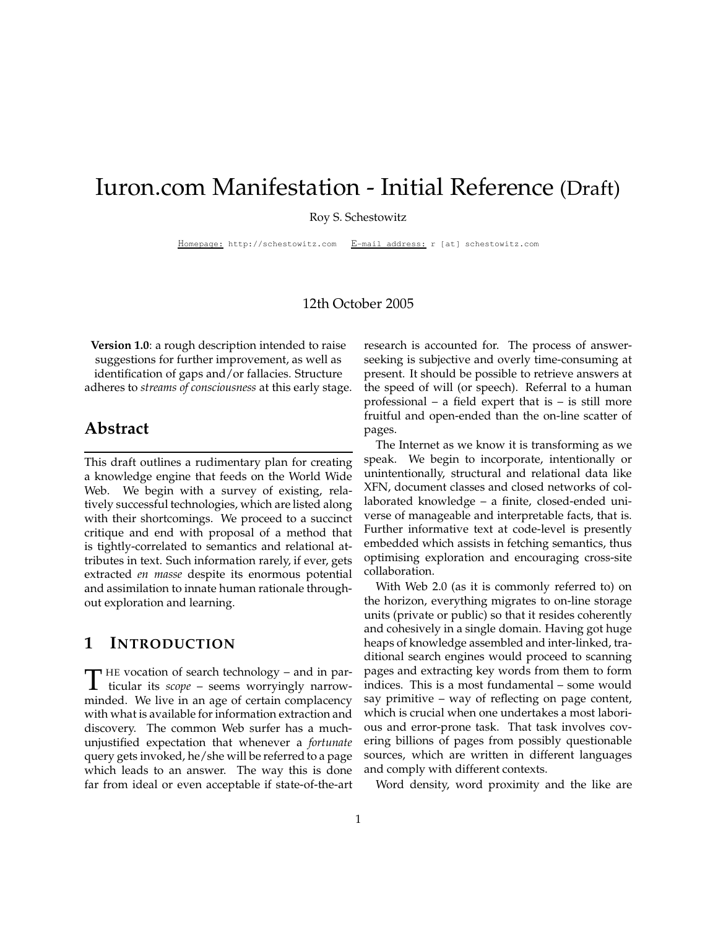# Iuron.com Manifestation - Initial Reference (Draft)

Roy S. Schestowitz

Homepage: http://schestowitz.com E-mail address: r [at] schestowitz.com

#### 12th October 2005

**Version 1.0**: a rough description intended to raise suggestions for further improvement, as well as identification of gaps and/or fallacies. Structure adheres to *streams of consciousness* at this early stage.

#### **Abstract**

This draft outlines a rudimentary plan for creating a knowledge engine that feeds on the World Wide Web. We begin with a survey of existing, relatively successful technologies, which are listed along with their shortcomings. We proceed to a succinct critique and end with proposal of a method that is tightly-correlated to semantics and relational attributes in text. Such information rarely, if ever, gets extracted *en masse* despite its enormous potential and assimilation to innate human rationale throughout exploration and learning.

#### **1 INTRODUCTION**

T <sup>HE</sup> vocation of search technology – and in particular its *scope* – seems worryingly narrow- $\blacksquare$  HE vocation of search technology – and in parminded. We live in an age of certain complacency with what is available for information extraction and discovery. The common Web surfer has a muchunjustified expectation that whenever a *fortunate* query gets invoked, he/she will be referred to a page which leads to an answer. The way this is done far from ideal or even acceptable if state-of-the-art

research is accounted for. The process of answerseeking is subjective and overly time-consuming at present. It should be possible to retrieve answers at the speed of will (or speech). Referral to a human professional – a field expert that is – is still more fruitful and open-ended than the on-line scatter of pages.

The Internet as we know it is transforming as we speak. We begin to incorporate, intentionally or unintentionally, structural and relational data like XFN, document classes and closed networks of collaborated knowledge – a finite, closed-ended universe of manageable and interpretable facts, that is. Further informative text at code-level is presently embedded which assists in fetching semantics, thus optimising exploration and encouraging cross-site collaboration.

With Web 2.0 (as it is commonly referred to) on the horizon, everything migrates to on-line storage units (private or public) so that it resides coherently and cohesively in a single domain. Having got huge heaps of knowledge assembled and inter-linked, traditional search engines would proceed to scanning pages and extracting key words from them to form indices. This is a most fundamental – some would say primitive – way of reflecting on page content, which is crucial when one undertakes a most laborious and error-prone task. That task involves covering billions of pages from possibly questionable sources, which are written in different languages and comply with different contexts.

Word density, word proximity and the like are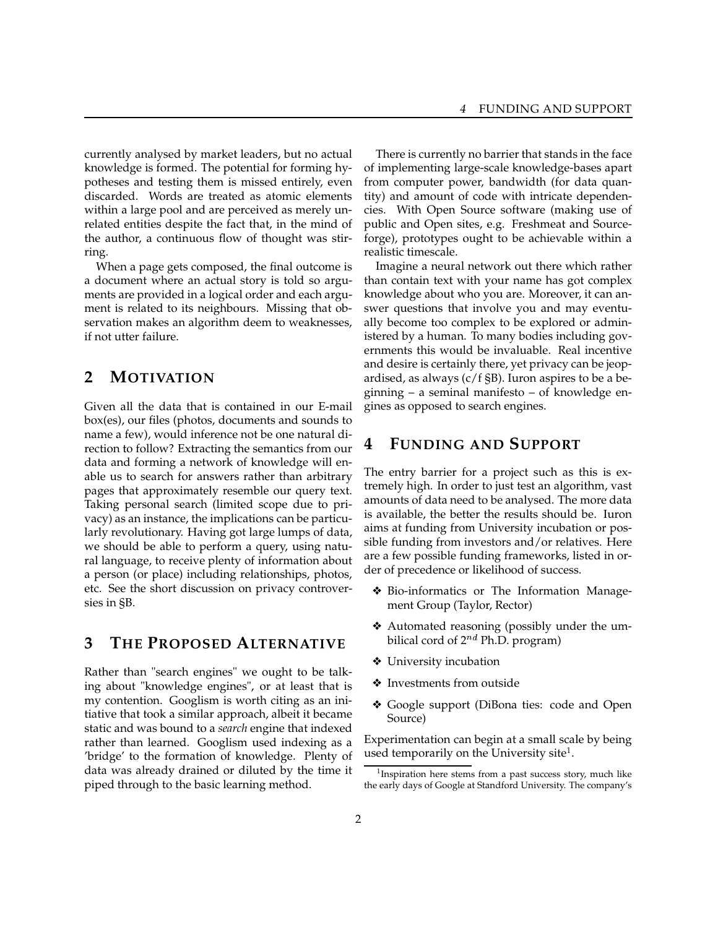currently analysed by market leaders, but no actual knowledge is formed. The potential for forming hypotheses and testing them is missed entirely, even discarded. Words are treated as atomic elements within a large pool and are perceived as merely unrelated entities despite the fact that, in the mind of the author, a continuous flow of thought was stirring.

When a page gets composed, the final outcome is a document where an actual story is told so arguments are provided in a logical order and each argument is related to its neighbours. Missing that observation makes an algorithm deem to weaknesses, if not utter failure.

# **2 MOTIVATION**

Given all the data that is contained in our E-mail box(es), our files (photos, documents and sounds to name a few), would inference not be one natural direction to follow? Extracting the semantics from our data and forming a network of knowledge will enable us to search for answers rather than arbitrary pages that approximately resemble our query text. Taking personal search (limited scope due to privacy) as an instance, the implications can be particularly revolutionary. Having got large lumps of data, we should be able to perform a query, using natural language, to receive plenty of information about a person (or place) including relationships, photos, etc. See the short discussion on privacy controversies in §B.

#### **3 THE PROPOSED ALTERNATIVE**

Rather than "search engines" we ought to be talking about "knowledge engines", or at least that is my contention. Googlism is worth citing as an initiative that took a similar approach, albeit it became static and was bound to a *search* engine that indexed rather than learned. Googlism used indexing as a 'bridge' to the formation of knowledge. Plenty of data was already drained or diluted by the time it piped through to the basic learning method.

There is currently no barrier that stands in the face of implementing large-scale knowledge-bases apart from computer power, bandwidth (for data quantity) and amount of code with intricate dependencies. With Open Source software (making use of public and Open sites, e.g. Freshmeat and Sourceforge), prototypes ought to be achievable within a realistic timescale.

Imagine a neural network out there which rather than contain text with your name has got complex knowledge about who you are. Moreover, it can answer questions that involve you and may eventually become too complex to be explored or administered by a human. To many bodies including governments this would be invaluable. Real incentive and desire is certainly there, yet privacy can be jeopardised, as always (c/f §B). Iuron aspires to be a beginning – a seminal manifesto – of knowledge engines as opposed to search engines.

# **4 FUNDING AND SUPPORT**

The entry barrier for a project such as this is extremely high. In order to just test an algorithm, vast amounts of data need to be analysed. The more data is available, the better the results should be. Iuron aims at funding from University incubation or possible funding from investors and/or relatives. Here are a few possible funding frameworks, listed in order of precedence or likelihood of success.

- ❖ Bio-informatics or The Information Management Group (Taylor, Rector)
- ❖ Automated reasoning (possibly under the umbilical cord of 2<sup>nd</sup> Ph.D. program)
- ❖ University incubation
- ❖ Investments from outside
- ❖ Google support (DiBona ties: code and Open Source)

Experimentation can begin at a small scale by being used temporarily on the University site<sup>1</sup>.

<sup>&</sup>lt;sup>1</sup>Inspiration here stems from a past success story, much like the early days of Google at Standford University. The company's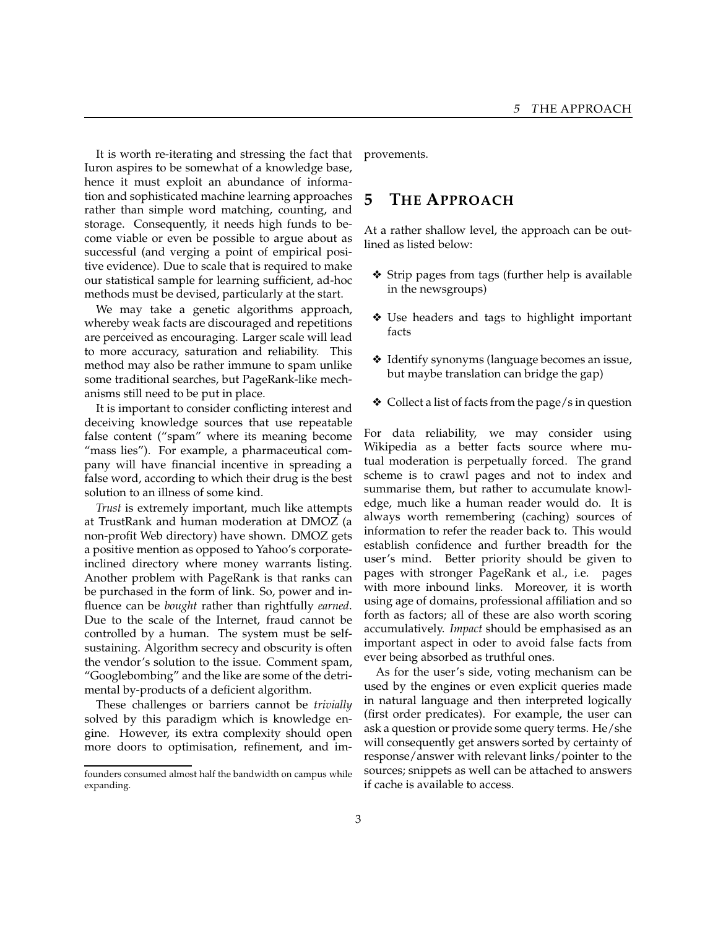It is worth re-iterating and stressing the fact that Iuron aspires to be somewhat of a knowledge base, hence it must exploit an abundance of information and sophisticated machine learning approaches rather than simple word matching, counting, and storage. Consequently, it needs high funds to become viable or even be possible to argue about as successful (and verging a point of empirical positive evidence). Due to scale that is required to make our statistical sample for learning sufficient, ad-hoc methods must be devised, particularly at the start.

We may take a genetic algorithms approach, whereby weak facts are discouraged and repetitions are perceived as encouraging. Larger scale will lead to more accuracy, saturation and reliability. This method may also be rather immune to spam unlike some traditional searches, but PageRank-like mechanisms still need to be put in place.

It is important to consider conflicting interest and deceiving knowledge sources that use repeatable false content ("spam" where its meaning become "mass lies"). For example, a pharmaceutical company will have financial incentive in spreading a false word, according to which their drug is the best solution to an illness of some kind.

*Trust* is extremely important, much like attempts at TrustRank and human moderation at DMOZ (a non-profit Web directory) have shown. DMOZ gets a positive mention as opposed to Yahoo's corporateinclined directory where money warrants listing. Another problem with PageRank is that ranks can be purchased in the form of link. So, power and influence can be *bought* rather than rightfully *earned*. Due to the scale of the Internet, fraud cannot be controlled by a human. The system must be selfsustaining. Algorithm secrecy and obscurity is often the vendor's solution to the issue. Comment spam, "Googlebombing" and the like are some of the detrimental by-products of a deficient algorithm.

These challenges or barriers cannot be *trivially* solved by this paradigm which is knowledge engine. However, its extra complexity should open more doors to optimisation, refinement, and improvements.

# **5 THE APPROACH**

At a rather shallow level, the approach can be outlined as listed below:

- ❖ Strip pages from tags (further help is available in the newsgroups)
- ❖ Use headers and tags to highlight important facts
- ❖ Identify synonyms (language becomes an issue, but maybe translation can bridge the gap)
- ❖ Collect a list of facts from the page/s in question

For data reliability, we may consider using Wikipedia as a better facts source where mutual moderation is perpetually forced. The grand scheme is to crawl pages and not to index and summarise them, but rather to accumulate knowledge, much like a human reader would do. It is always worth remembering (caching) sources of information to refer the reader back to. This would establish confidence and further breadth for the user's mind. Better priority should be given to pages with stronger PageRank et al., i.e. pages with more inbound links. Moreover, it is worth using age of domains, professional affiliation and so forth as factors; all of these are also worth scoring accumulatively. *Impact* should be emphasised as an important aspect in oder to avoid false facts from ever being absorbed as truthful ones.

As for the user's side, voting mechanism can be used by the engines or even explicit queries made in natural language and then interpreted logically (first order predicates). For example, the user can ask a question or provide some query terms. He/she will consequently get answers sorted by certainty of response/answer with relevant links/pointer to the sources; snippets as well can be attached to answers if cache is available to access.

founders consumed almost half the bandwidth on campus while expanding.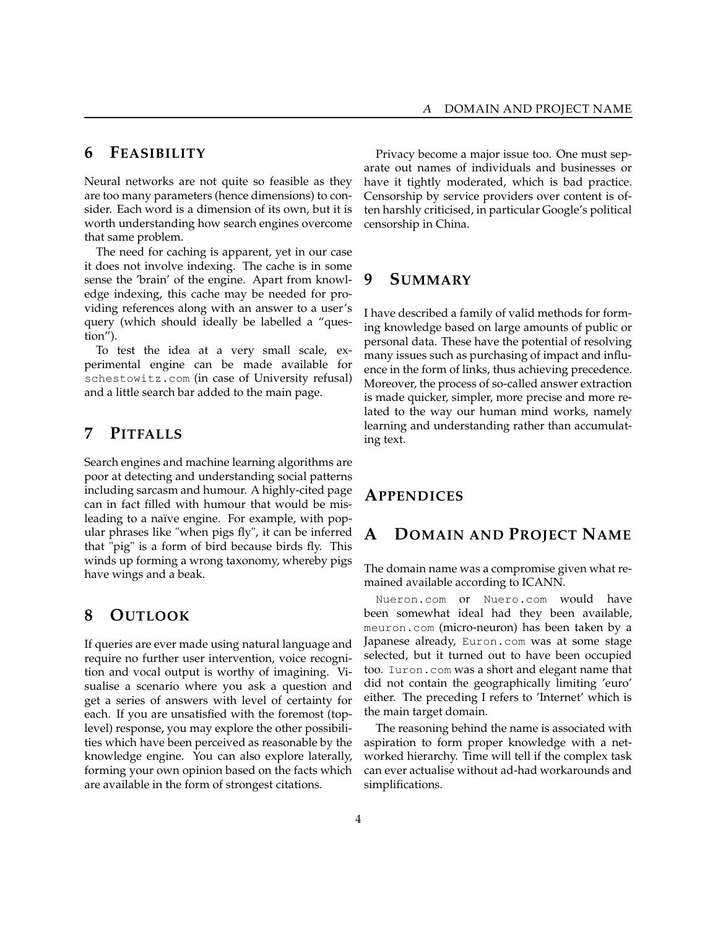#### **6 FEASIBILITY**

Neural networks are not quite so feasible as they are too many parameters (hence dimensions) to consider. Each word is a dimension of its own, but it is worth understanding how search engines overcome that same problem.

The need for caching is apparent, yet in our case it does not involve indexing. The cache is in some sense the 'brain' of the engine. Apart from knowledge indexing, this cache may be needed for providing references along with an answer to a user's query (which should ideally be labelled a "question").

To test the idea at a very small scale, experimental engine can be made available for schestowitz.com (in case of University refusal) and a little search bar added to the main page.

# **7 PITFALLS**

Search engines and machine learning algorithms are poor at detecting and understanding social patterns including sarcasm and humour. A highly-cited page can in fact filled with humour that would be misleading to a naïve engine. For example, with popular phrases like "when pigs fly", it can be inferred that "pig" is a form of bird because birds fly. This winds up forming a wrong taxonomy, whereby pigs have wings and a beak.

#### **8 OUTLOOK**

If queries are ever made using natural language and require no further user intervention, voice recognition and vocal output is worthy of imagining. Visualise a scenario where you ask a question and get a series of answers with level of certainty for each. If you are unsatisfied with the foremost (toplevel) response, you may explore the other possibilities which have been perceived as reasonable by the knowledge engine. You can also explore laterally, forming your own opinion based on the facts which are available in the form of strongest citations.

Privacy become a major issue too. One must separate out names of individuals and businesses or have it tightly moderated, which is bad practice. Censorship by service providers over content is often harshly criticised, in particular Google's political censorship in China.

## **9 SUMMARY**

I have described a family of valid methods for forming knowledge based on large amounts of public or personal data. These have the potential of resolving many issues such as purchasing of impact and influence in the form of links, thus achieving precedence. Moreover, the process of so-called answer extraction is made quicker, simpler, more precise and more related to the way our human mind works, namely learning and understanding rather than accumulating text.

# **APPENDICES**

# **A DOMAIN AND PROJECT NAME**

The domain name was a compromise given what remained available according to ICANN.

Nueron.com or Nuero.com would have been somewhat ideal had they been available, meuron.com (micro-neuron) has been taken by a Japanese already, Euron.com was at some stage selected, but it turned out to have been occupied too. Iuron.com was a short and elegant name that did not contain the geographically limiting 'euro' either. The preceding I refers to 'Internet' which is the main target domain.

The reasoning behind the name is associated with aspiration to form proper knowledge with a networked hierarchy. Time will tell if the complex task can ever actualise without ad-had workarounds and simplifications.